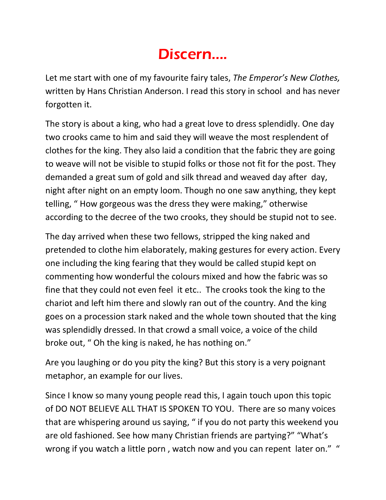## Discern....

Let me start with one of my favourite fairy tales, *The Emperor's New Clothes,* written by Hans Christian Anderson. I read this story in school and has never forgotten it.

The story is about a king, who had a great love to dress splendidly. One day two crooks came to him and said they will weave the most resplendent of clothes for the king. They also laid a condition that the fabric they are going to weave will not be visible to stupid folks or those not fit for the post. They demanded a great sum of gold and silk thread and weaved day after day, night after night on an empty loom. Though no one saw anything, they kept telling, " How gorgeous was the dress they were making," otherwise according to the decree of the two crooks, they should be stupid not to see.

The day arrived when these two fellows, stripped the king naked and pretended to clothe him elaborately, making gestures for every action. Every one including the king fearing that they would be called stupid kept on commenting how wonderful the colours mixed and how the fabric was so fine that they could not even feel it etc.. The crooks took the king to the chariot and left him there and slowly ran out of the country. And the king goes on a procession stark naked and the whole town shouted that the king was splendidly dressed. In that crowd a small voice, a voice of the child broke out, " Oh the king is naked, he has nothing on."

Are you laughing or do you pity the king? But this story is a very poignant metaphor, an example for our lives.

Since I know so many young people read this, I again touch upon this topic of DO NOT BELIEVE ALL THAT IS SPOKEN TO YOU. There are so many voices that are whispering around us saying, " if you do not party this weekend you are old fashioned. See how many Christian friends are partying?" "What's wrong if you watch a little porn, watch now and you can repent later on." "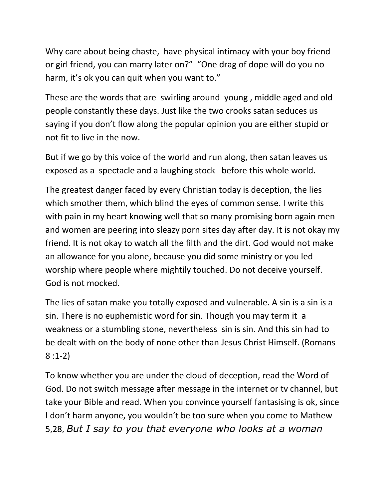Why care about being chaste, have physical intimacy with your boy friend or girl friend, you can marry later on?" "One drag of dope will do you no harm, it's ok you can quit when you want to."

These are the words that are swirling around young , middle aged and old people constantly these days. Just like the two crooks satan seduces us saying if you don't flow along the popular opinion you are either stupid or not fit to live in the now.

But if we go by this voice of the world and run along, then satan leaves us exposed as a spectacle and a laughing stock before this whole world.

The greatest danger faced by every Christian today is deception, the lies which smother them, which blind the eyes of common sense. I write this with pain in my heart knowing well that so many promising born again men and women are peering into sleazy porn sites day after day. It is not okay my friend. It is not okay to watch all the filth and the dirt. God would not make an allowance for you alone, because you did some ministry or you led worship where people where mightily touched. Do not deceive yourself. God is not mocked.

The lies of satan make you totally exposed and vulnerable. A sin is a sin is a sin. There is no euphemistic word for sin. Though you may term it a weakness or a stumbling stone, nevertheless sin is sin. And this sin had to be dealt with on the body of none other than Jesus Christ Himself. (Romans 8 :1-2)

To know whether you are under the cloud of deception, read the Word of God. Do not switch message after message in the internet or tv channel, but take your Bible and read. When you convince yourself fantasising is ok, since I don't harm anyone, you wouldn't be too sure when you come to Mathew 5,28, *But I say to you that everyone who looks at a woman*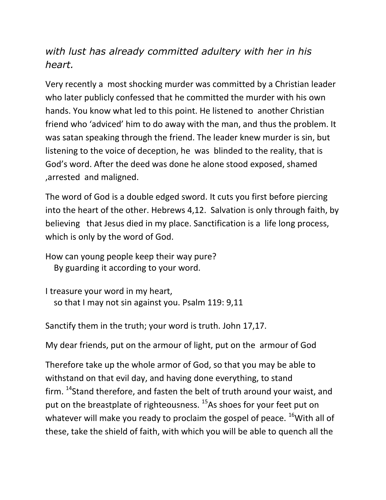## *with lust has already committed adultery with her in his heart.*

Very recently a most shocking murder was committed by a Christian leader who later publicly confessed that he committed the murder with his own hands. You know what led to this point. He listened to another Christian friend who 'adviced' him to do away with the man, and thus the problem. It was satan speaking through the friend. The leader knew murder is sin, but listening to the voice of deception, he was blinded to the reality, that is God's word. After the deed was done he alone stood exposed, shamed ,arrested and maligned.

The word of God is a double edged sword. It cuts you first before piercing into the heart of the other. Hebrews 4,12. Salvation is only through faith, by believing that Jesus died in my place. Sanctification is a life long process, which is only by the word of God.

How can young people keep their way pure? By guarding it according to your word.

I treasure your word in my heart, so that I may not sin against you. Psalm 119: 9,11

Sanctify them in the truth; your word is truth. John 17,17.

My dear friends, put on the armour of light, put on the armour of God

Therefore take up the whole armor of God, so that you may be able to withstand on that evil day, and having done everything, to stand firm.  $14$ Stand therefore, and fasten the belt of truth around your waist, and put on the breastplate of righteousness.<sup>15</sup>As shoes for your feet put on whatever will make you ready to proclaim the gospel of peace.  $^{16}$  With all of these, take the shield of faith, with which you will be able to quench all the